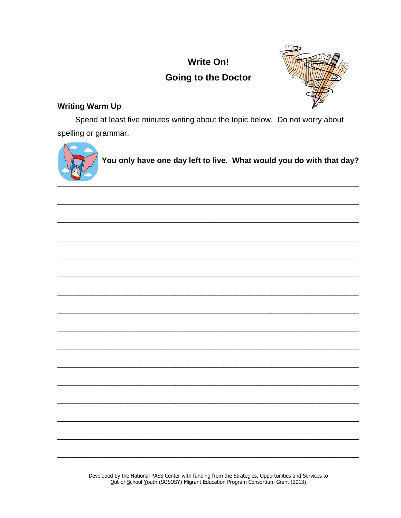# **Write On! Going to the Doctor**



# **Writing Warm Up**

Spend at least five minutes writing about the topic below. Do not worry about spelling or grammar.



You only have one day left to live. What would you do with that day?

Developed by the National PASS Center with funding from the Strategies, Opportunities and Services to Out-of-School Youth (SOSOSY) Migrant Education Program Consortium Grant (2013)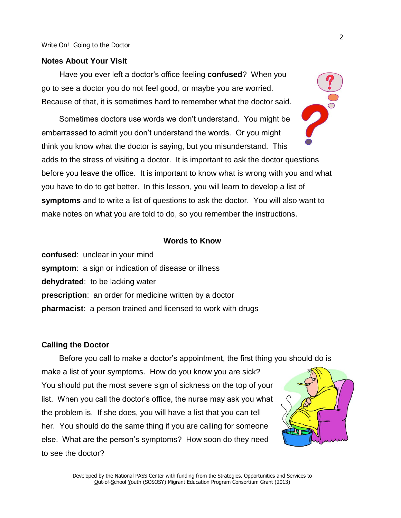#### **Notes About Your Visit**

Have you ever left a doctor's office feeling **confused**? When you go to see a doctor you do not feel good, or maybe you are worried. Because of that, it is sometimes hard to remember what the doctor said.

Sometimes doctors use words we don't understand. You might be embarrassed to admit you don't understand the words. Or you might think you know what the doctor is saying, but you misunderstand. This adds to the stress of visiting a doctor. It is important to ask the doctor questions before you leave the office. It is important to know what is wrong with you and what you have to do to get better. In this lesson, you will learn to develop a list of **symptoms** and to write a list of questions to ask the doctor. You will also want to make notes on what you are told to do, so you remember the instructions.

## **Words to Know**

**confused**: unclear in your mind **symptom**: a sign or indication of disease or illness **dehydrated**: to be lacking water **prescription**: an order for medicine written by a doctor **pharmacist**: a person trained and licensed to work with drugs

#### **Calling the Doctor**

Before you call to make a doctor's appointment, the first thing you should do is make a list of your symptoms. How do you know you are sick? You should put the most severe sign of sickness on the top of your list. When you call the doctor's office, the nurse may ask you what the problem is. If she does, you will have a list that you can tell her. You should do the same thing if you are calling for someone else. What are the person's symptoms? How soon do they need to see the doctor?

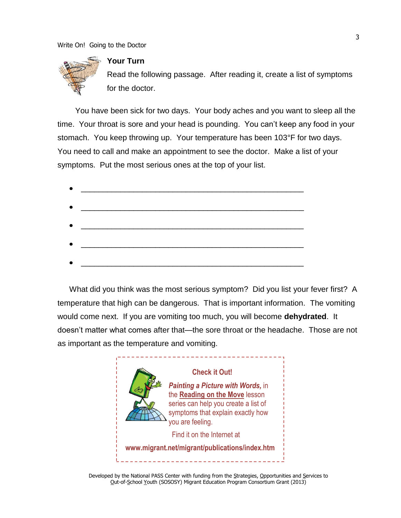

# **Your Turn**

Read the following passage. After reading it, create a list of symptoms for the doctor.

You have been sick for two days. Your body aches and you want to sleep all the time. Your throat is sore and your head is pounding. You can't keep any food in your stomach. You keep throwing up. Your temperature has been 103°F for two days. You need to call and make an appointment to see the doctor. Make a list of your symptoms. Put the most serious ones at the top of your list.

| <u> 1980 - Johann John Stone, markin fizik eta idazlea (</u>                                                          |  |  |
|-----------------------------------------------------------------------------------------------------------------------|--|--|
|                                                                                                                       |  |  |
| <u> 2008 - Jan James James James James James James James James James James James James James James James James Ja</u> |  |  |
|                                                                                                                       |  |  |
|                                                                                                                       |  |  |
|                                                                                                                       |  |  |
|                                                                                                                       |  |  |
|                                                                                                                       |  |  |
|                                                                                                                       |  |  |
|                                                                                                                       |  |  |

What did you think was the most serious symptom? Did you list your fever first? A temperature that high can be dangerous. That is important information. The vomiting would come next. If you are vomiting too much, you will become **dehydrated**. It doesn't matter what comes after that—the sore throat or the headache. Those are not as important as the temperature and vomiting.



Developed by the National PASS Center with funding from the Strategies, Opportunities and Services to Out-of-School Youth (SOSOSY) Migrant Education Program Consortium Grant (2013)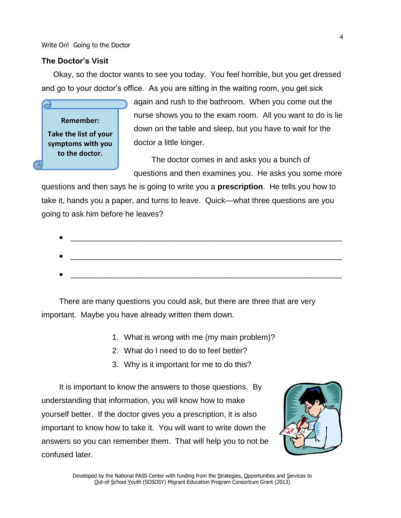## **The Doctor's Visit**

Okay, so the doctor wants to see you today. You feel horrible, but you get dressed and go to your doctor's office. As you are sitting in the waiting room, you get sick

**Remember: Take the list of your symptoms with you to the doctor.** 

again and rush to the bathroom. When you come out the nurse shows you to the exam room. All you want to do is lie down on the table and sleep, but you have to wait for the doctor a little longer.

The doctor comes in and asks you a bunch of questions and then examines you. He asks you some more

questions and then says he is going to write you a **prescription**. He tells you how to take it, hands you a paper, and turns to leave. Quick—what three questions are you going to ask him before he leaves?

There are many questions you could ask, but there are three that are very important. Maybe you have already written them down.

- 1. What is wrong with me (my main problem)?
- 2. What do I need to do to feel better?
- 3. Why is it important for me to do this?

It is important to know the answers to those questions. By understanding that information, you will know how to make yourself better. If the doctor gives you a prescription, it is also important to know how to take it. You will want to write down the answers so you can remember them. That will help you to not be confused later.



Developed by the National PASS Center with funding from the Strategies, Opportunities and Services to Out-of-School Youth (SOSOSY) Migrant Education Program Consortium Grant (2013)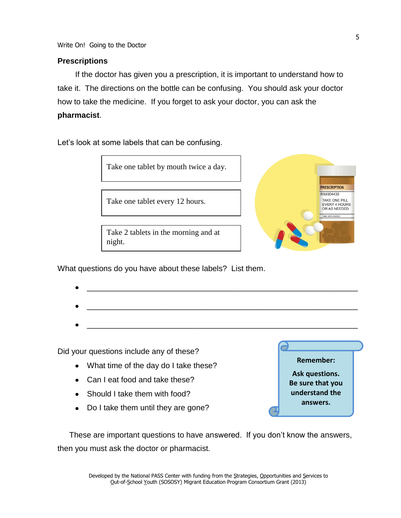Write On! Going to the Doctor

# **Prescriptions**

If the doctor has given you a prescription, it is important to understand how to take it. The directions on the bottle can be confusing. You should ask your doctor how to take the medicine. If you forget to ask your doctor, you can ask the **pharmacist**.

Let's look at some labels that can be confusing.





What questions do you have about these labels? List them.

Did your questions include any of these?

- What time of the day do I take these?
- Can I eat food and take these?
- Should I take them with food?
- Do I take them until they are gone?



These are important questions to have answered. If you don't know the answers, then you must ask the doctor or pharmacist.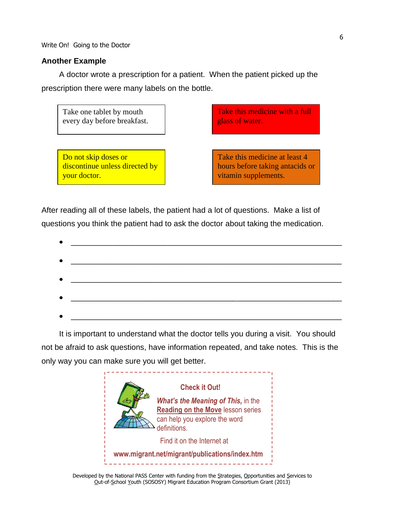Write On! Going to the Doctor

# **Another Example**

A doctor wrote a prescription for a patient. When the patient picked up the prescription there were many labels on the bottle.



After reading all of these labels, the patient had a lot of questions. Make a list of questions you think the patient had to ask the doctor about taking the medication.

| ٠         | <u> 1980 - Jan Barnett, fransk politiker (d. 1980)</u>                                                               |
|-----------|----------------------------------------------------------------------------------------------------------------------|
|           |                                                                                                                      |
| $\bullet$ |                                                                                                                      |
| $\bullet$ |                                                                                                                      |
|           |                                                                                                                      |
| ٠         | <u> 1980 - Johann Barn, mars eta bat eta bat erroman erroman erroman ez erroman ez erroman ez erroman ez erroman</u> |
|           |                                                                                                                      |
|           | <u> 1990 - Johann John Harry Harry Harry Harry Harry Harry Harry Harry Harry Harry Harry Harry Harry Harry Harry</u> |

It is important to understand what the doctor tells you during a visit. You should not be afraid to ask questions, have information repeated, and take notes. This is the only way you can make sure you will get better.



Developed by the National PASS Center with funding from the Strategies, Opportunities and Services to Out-of-School Youth (SOSOSY) Migrant Education Program Consortium Grant (2013)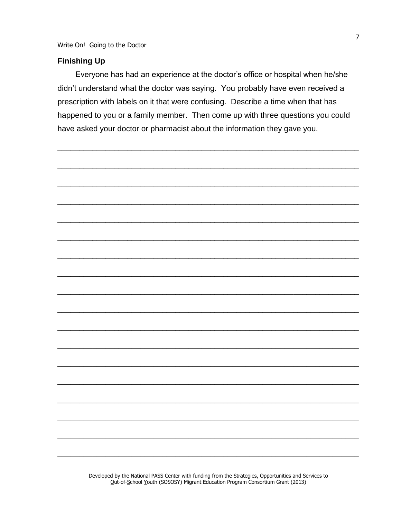Write On! Going to the Doctor

# **Finishing Up**

Everyone has had an experience at the doctor's office or hospital when he/she didn't understand what the doctor was saying. You probably have even received a prescription with labels on it that were confusing. Describe a time when that has happened to you or a family member. Then come up with three questions you could have asked your doctor or pharmacist about the information they gave you.



Developed by the National PASS Center with funding from the Strategies, Opportunities and Services to Out-of-School Youth (SOSOSY) Migrant Education Program Consortium Grant (2013)